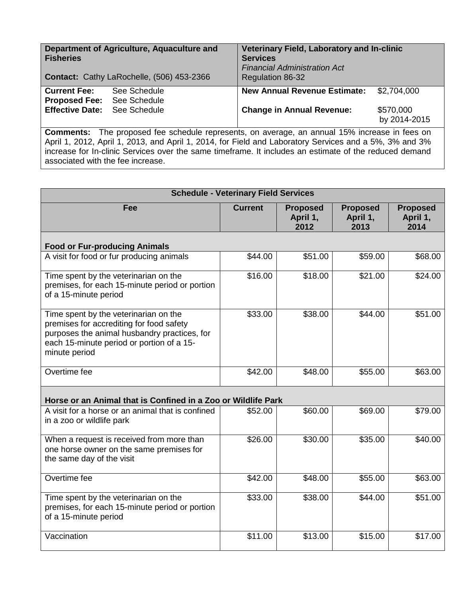| Department of Agriculture, Aquaculture and<br><b>Fisheries</b><br>Contact: Cathy LaRochelle, (506) 453-2366           | Veterinary Field, Laboratory and In-clinic<br><b>Services</b><br><b>Financial Administration Act</b><br><b>Regulation 86-32</b> |
|-----------------------------------------------------------------------------------------------------------------------|---------------------------------------------------------------------------------------------------------------------------------|
| See Schedule<br><b>Current Fee:</b><br><b>Proposed Fee:</b><br>See Schedule<br><b>Effective Date:</b><br>See Schedule | <b>New Annual Revenue Estimate:</b><br>\$2,704,000<br><b>Change in Annual Revenue:</b><br>\$570,000<br>by 2014-2015             |
| $Comman$ te:                                                                                                          | The proposed fee schedule represents, on average, an annual 15% increase in fees on                                             |

**Comments:** The proposed fee schedule represents, on average, an annual 15% increase in fees on April 1, 2012, April 1, 2013, and April 1, 2014, for Field and Laboratory Services and a 5%, 3% and 3% increase for In-clinic Services over the same timeframe. It includes an estimate of the reduced demand associated with the fee increase.

| <b>Schedule - Veterinary Field Services</b>                                                                                                                                                     |                |                                     |                                     |                                     |  |
|-------------------------------------------------------------------------------------------------------------------------------------------------------------------------------------------------|----------------|-------------------------------------|-------------------------------------|-------------------------------------|--|
| Fee                                                                                                                                                                                             | <b>Current</b> | <b>Proposed</b><br>April 1,<br>2012 | <b>Proposed</b><br>April 1,<br>2013 | <b>Proposed</b><br>April 1,<br>2014 |  |
| <b>Food or Fur-producing Animals</b>                                                                                                                                                            |                |                                     |                                     |                                     |  |
| A visit for food or fur producing animals                                                                                                                                                       | \$44.00        | \$51.00                             | \$59.00                             | \$68.00                             |  |
| Time spent by the veterinarian on the<br>premises, for each 15-minute period or portion<br>of a 15-minute period                                                                                | \$16.00        | \$18.00                             | \$21.00                             | \$24.00                             |  |
| Time spent by the veterinarian on the<br>premises for accrediting for food safety<br>purposes the animal husbandry practices, for<br>each 15-minute period or portion of a 15-<br>minute period | \$33.00        | \$38.00                             | \$44.00                             | \$51.00                             |  |
| Overtime fee                                                                                                                                                                                    | \$42.00        | \$48.00                             | \$55.00                             | \$63.00                             |  |
| Horse or an Animal that is Confined in a Zoo or Wildlife Park                                                                                                                                   |                |                                     |                                     |                                     |  |
| A visit for a horse or an animal that is confined<br>in a zoo or wildlife park                                                                                                                  | \$52.00        | \$60.00                             | \$69.00                             | \$79.00                             |  |
| When a request is received from more than<br>one horse owner on the same premises for<br>the same day of the visit                                                                              | \$26.00        | \$30.00                             | \$35.00                             | \$40.00                             |  |
| Overtime fee                                                                                                                                                                                    | \$42.00        | \$48.00                             | \$55.00                             | \$63.00                             |  |
| Time spent by the veterinarian on the<br>premises, for each 15-minute period or portion<br>of a 15-minute period                                                                                | \$33.00        | \$38.00                             | \$44.00                             | \$51.00                             |  |
| Vaccination                                                                                                                                                                                     | \$11.00        | \$13.00                             | \$15.00                             | \$17.00                             |  |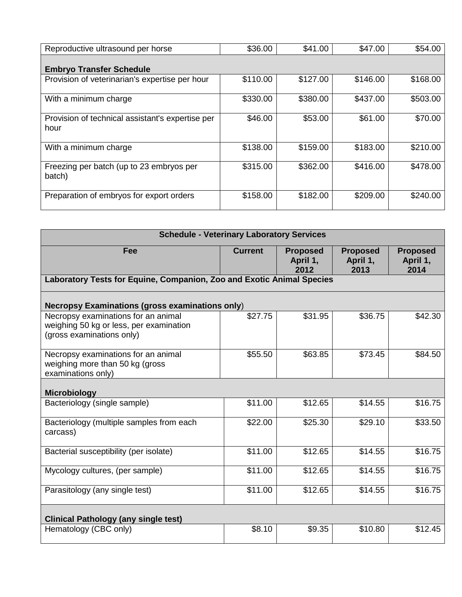| Reproductive ultrasound per horse                        | \$36.00  | \$41.00  | \$47.00  | \$54.00  |
|----------------------------------------------------------|----------|----------|----------|----------|
| <b>Embryo Transfer Schedule</b>                          |          |          |          |          |
| Provision of veterinarian's expertise per hour           | \$110.00 | \$127.00 | \$146.00 | \$168.00 |
| With a minimum charge                                    | \$330.00 | \$380.00 | \$437.00 | \$503.00 |
| Provision of technical assistant's expertise per<br>hour | \$46.00  | \$53.00  | \$61.00  | \$70.00  |
| With a minimum charge                                    | \$138.00 | \$159.00 | \$183.00 | \$210.00 |
| Freezing per batch (up to 23 embryos per<br>batch)       | \$315.00 | \$362.00 | \$416.00 | \$478.00 |
| Preparation of embryos for export orders                 | \$158.00 | \$182.00 | \$209.00 | \$240.00 |

| <b>Schedule - Veterinary Laboratory Services</b>                                                            |                |                                     |                                     |                                     |  |
|-------------------------------------------------------------------------------------------------------------|----------------|-------------------------------------|-------------------------------------|-------------------------------------|--|
| Fee                                                                                                         | <b>Current</b> | <b>Proposed</b><br>April 1,<br>2012 | <b>Proposed</b><br>April 1,<br>2013 | <b>Proposed</b><br>April 1,<br>2014 |  |
| Laboratory Tests for Equine, Companion, Zoo and Exotic Animal Species                                       |                |                                     |                                     |                                     |  |
| <b>Necropsy Examinations (gross examinations only)</b>                                                      |                |                                     |                                     |                                     |  |
| Necropsy examinations for an animal<br>weighing 50 kg or less, per examination<br>(gross examinations only) | \$27.75        | \$31.95                             | \$36.75                             | \$42.30                             |  |
| Necropsy examinations for an animal<br>weighing more than 50 kg (gross<br>examinations only)                | \$55.50        | \$63.85                             | \$73.45                             | \$84.50                             |  |
| <b>Microbiology</b>                                                                                         |                |                                     |                                     |                                     |  |
| Bacteriology (single sample)                                                                                | \$11.00        | \$12.65                             | \$14.55                             | \$16.75                             |  |
| Bacteriology (multiple samples from each<br>carcass)                                                        | \$22.00        | \$25.30                             | \$29.10                             | \$33.50                             |  |
| Bacterial susceptibility (per isolate)                                                                      | \$11.00        | \$12.65                             | \$14.55                             | \$16.75                             |  |
| Mycology cultures, (per sample)                                                                             | \$11.00        | \$12.65                             | \$14.55                             | \$16.75                             |  |
| Parasitology (any single test)                                                                              | \$11.00        | \$12.65                             | \$14.55                             | \$16.75                             |  |
| <b>Clinical Pathology (any single test)</b>                                                                 |                |                                     |                                     |                                     |  |
| Hematology (CBC only)                                                                                       | \$8.10         | \$9.35                              | \$10.80                             | \$12.45                             |  |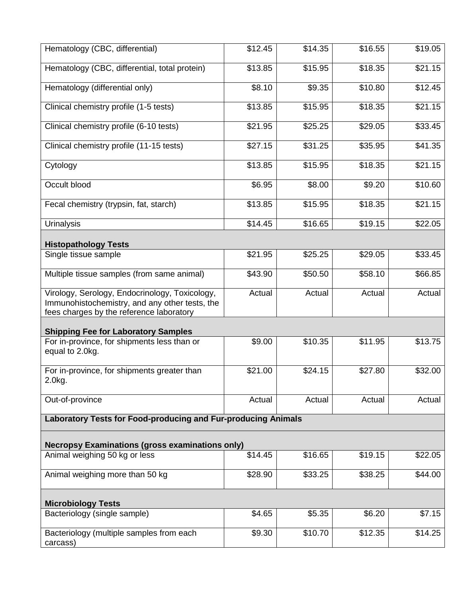| Hematology (CBC, differential)                                                                                                               | \$12.45 | \$14.35 | \$16.55 | \$19.05 |  |
|----------------------------------------------------------------------------------------------------------------------------------------------|---------|---------|---------|---------|--|
| Hematology (CBC, differential, total protein)                                                                                                | \$13.85 | \$15.95 | \$18.35 | \$21.15 |  |
| Hematology (differential only)                                                                                                               | \$8.10  | \$9.35  | \$10.80 | \$12.45 |  |
| Clinical chemistry profile (1-5 tests)                                                                                                       | \$13.85 | \$15.95 | \$18.35 | \$21.15 |  |
| Clinical chemistry profile (6-10 tests)                                                                                                      | \$21.95 | \$25.25 | \$29.05 | \$33.45 |  |
| Clinical chemistry profile (11-15 tests)                                                                                                     | \$27.15 | \$31.25 | \$35.95 | \$41.35 |  |
| Cytology                                                                                                                                     | \$13.85 | \$15.95 | \$18.35 | \$21.15 |  |
| Occult blood                                                                                                                                 | \$6.95  | \$8.00  | \$9.20  | \$10.60 |  |
| Fecal chemistry (trypsin, fat, starch)                                                                                                       | \$13.85 | \$15.95 | \$18.35 | \$21.15 |  |
| <b>Urinalysis</b>                                                                                                                            | \$14.45 | \$16.65 | \$19.15 | \$22.05 |  |
| <b>Histopathology Tests</b>                                                                                                                  |         |         |         |         |  |
| Single tissue sample                                                                                                                         | \$21.95 | \$25.25 | \$29.05 | \$33.45 |  |
| Multiple tissue samples (from same animal)                                                                                                   | \$43.90 | \$50.50 | \$58.10 | \$66.85 |  |
| Virology, Serology, Endocrinology, Toxicology,<br>Immunohistochemistry, and any other tests, the<br>fees charges by the reference laboratory | Actual  | Actual  | Actual  | Actual  |  |
| <b>Shipping Fee for Laboratory Samples</b>                                                                                                   |         |         |         |         |  |
| For in-province, for shipments less than or<br>equal to 2.0kg.                                                                               | \$9.00  | \$10.35 | \$11.95 | \$13.75 |  |
| For in-province, for shipments greater than<br>2.0kg.                                                                                        | \$21.00 | \$24.15 | \$27.80 | \$32.00 |  |
| Out-of-province                                                                                                                              | Actual  | Actual  | Actual  | Actual  |  |
| Laboratory Tests for Food-producing and Fur-producing Animals                                                                                |         |         |         |         |  |
| <b>Necropsy Examinations (gross examinations only)</b>                                                                                       |         |         |         |         |  |
| Animal weighing 50 kg or less                                                                                                                | \$14.45 | \$16.65 | \$19.15 | \$22.05 |  |
| Animal weighing more than 50 kg                                                                                                              | \$28.90 | \$33.25 | \$38.25 | \$44.00 |  |
| <b>Microbiology Tests</b>                                                                                                                    |         |         |         |         |  |
| Bacteriology (single sample)                                                                                                                 | \$4.65  | \$5.35  | \$6.20  | \$7.15  |  |
| Bacteriology (multiple samples from each<br>carcass)                                                                                         | \$9.30  | \$10.70 | \$12.35 | \$14.25 |  |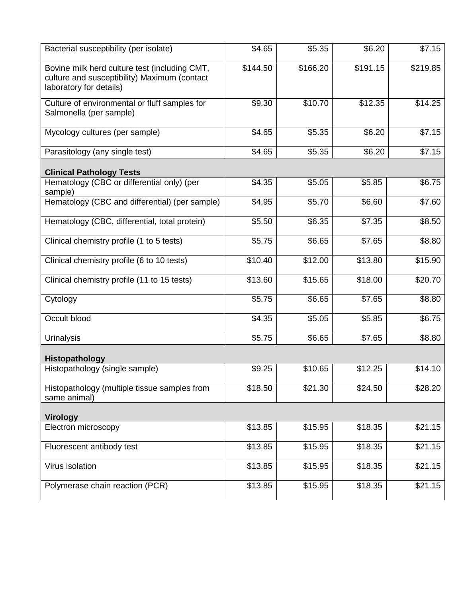| Bacterial susceptibility (per isolate)                                                                                   | \$4.65   | \$5.35   | \$6.20   | \$7.15   |
|--------------------------------------------------------------------------------------------------------------------------|----------|----------|----------|----------|
| Bovine milk herd culture test (including CMT,<br>culture and susceptibility) Maximum (contact<br>laboratory for details) | \$144.50 | \$166.20 | \$191.15 | \$219.85 |
| Culture of environmental or fluff samples for<br>Salmonella (per sample)                                                 | \$9.30   | \$10.70  | \$12.35  | \$14.25  |
| Mycology cultures (per sample)                                                                                           | \$4.65   | \$5.35   | \$6.20   | \$7.15   |
| Parasitology (any single test)                                                                                           | \$4.65   | \$5.35   | \$6.20   | \$7.15   |
| <b>Clinical Pathology Tests</b>                                                                                          |          |          |          |          |
| Hematology (CBC or differential only) (per<br>sample)                                                                    | \$4.35   | \$5.05   | \$5.85   | \$6.75   |
| Hematology (CBC and differential) (per sample)                                                                           | \$4.95   | \$5.70   | \$6.60   | \$7.60   |
| Hematology (CBC, differential, total protein)                                                                            | \$5.50   | \$6.35   | \$7.35   | \$8.50   |
| Clinical chemistry profile (1 to 5 tests)                                                                                | \$5.75   | \$6.65   | \$7.65   | \$8.80   |
| Clinical chemistry profile (6 to 10 tests)                                                                               | \$10.40  | \$12.00  | \$13.80  | \$15.90  |
| Clinical chemistry profile (11 to 15 tests)                                                                              | \$13.60  | \$15.65  | \$18.00  | \$20.70  |
| Cytology                                                                                                                 | \$5.75   | \$6.65   | \$7.65   | \$8.80   |
| Occult blood                                                                                                             | \$4.35   | \$5.05   | \$5.85   | \$6.75   |
| <b>Urinalysis</b>                                                                                                        | \$5.75   | \$6.65   | \$7.65   | \$8.80   |
| Histopathology                                                                                                           |          |          |          |          |
| Histopathology (single sample)                                                                                           | \$9.25   | \$10.65  | \$12.25  | \$14.10  |
| Histopathology (multiple tissue samples from<br>same animal)                                                             | \$18.50  | \$21.30  | \$24.50  | \$28.20  |
| <b>Virology</b>                                                                                                          |          |          |          |          |
| Electron microscopy                                                                                                      | \$13.85  | \$15.95  | \$18.35  | \$21.15  |
| Fluorescent antibody test                                                                                                | \$13.85  | \$15.95  | \$18.35  | \$21.15  |
| <b>Virus isolation</b>                                                                                                   | \$13.85  | \$15.95  | \$18.35  | \$21.15  |
| Polymerase chain reaction (PCR)                                                                                          | \$13.85  | \$15.95  | \$18.35  | \$21.15  |